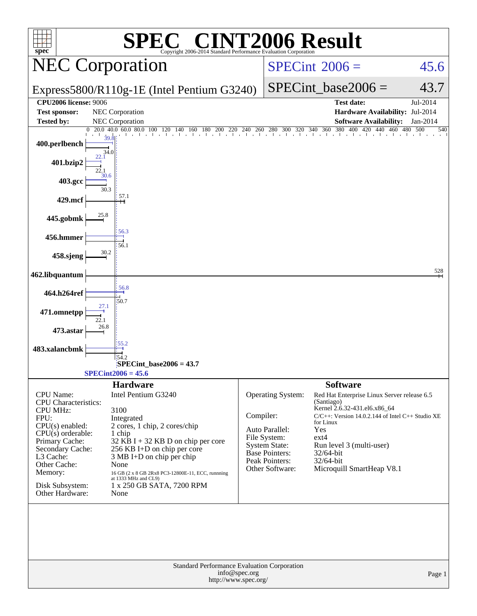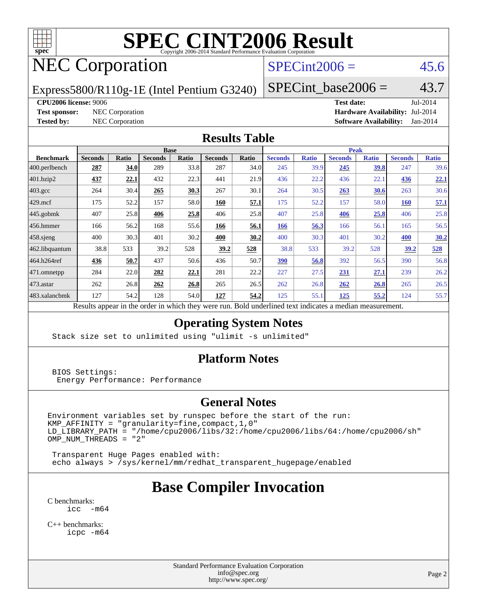

## NEC Corporation

#### $SPECint2006 = 45.6$  $SPECint2006 = 45.6$

Express5800/R110g-1E (Intel Pentium G3240)

 $SPECTnt\_base2006 = 43.7$ 

#### **[CPU2006 license:](http://www.spec.org/auto/cpu2006/Docs/result-fields.html#CPU2006license)** 9006 **[Test date:](http://www.spec.org/auto/cpu2006/Docs/result-fields.html#Testdate)** Jul-2014

**[Test sponsor:](http://www.spec.org/auto/cpu2006/Docs/result-fields.html#Testsponsor)** NEC Corporation **[Hardware Availability:](http://www.spec.org/auto/cpu2006/Docs/result-fields.html#HardwareAvailability)** Jul-2014 **[Tested by:](http://www.spec.org/auto/cpu2006/Docs/result-fields.html#Testedby)** NEC Corporation **[Software Availability:](http://www.spec.org/auto/cpu2006/Docs/result-fields.html#SoftwareAvailability)** Jan-2014

#### **[Results Table](http://www.spec.org/auto/cpu2006/Docs/result-fields.html#ResultsTable)**

|                    | <b>Base</b>    |       |                |       |                |       | <b>Peak</b>    |              |                |              |                |              |
|--------------------|----------------|-------|----------------|-------|----------------|-------|----------------|--------------|----------------|--------------|----------------|--------------|
| <b>Benchmark</b>   | <b>Seconds</b> | Ratio | <b>Seconds</b> | Ratio | <b>Seconds</b> | Ratio | <b>Seconds</b> | <b>Ratio</b> | <b>Seconds</b> | <b>Ratio</b> | <b>Seconds</b> | <b>Ratio</b> |
| 400.perlbench      | 287            | 34.0  | 289            | 33.8  | 287            | 34.0  | 245            | 39.9         | 245            | 39.8         | 247            | 39.6         |
| 401.bzip2          | 437            | 22.1  | 432            | 22.3  | 441            | 21.9  | 436            | 22.2         | 436            | 22.1         | 436            | 22.1         |
| $403.\mathrm{gcc}$ | 264            | 30.4  | 265            | 30.3  | 267            | 30.1  | 264            | 30.5         | 263            | 30.6         | 263            | 30.6         |
| $429$ mcf          | 175            | 52.2  | 157            | 58.0  | 160            | 57.1  | 175            | 52.2         | 157            | 58.0         | 160            | 57.1         |
| $445$ .gobmk       | 407            | 25.8  | 406            | 25.8  | 406            | 25.8  | 407            | 25.8         | 406            | 25.8         | 406            | 25.8         |
| $ 456$ .hmmer      | 166            | 56.2  | 168            | 55.6  | 166            | 56.1  | 166            | 56.3         | 166            | 56.1         | 165            | 56.5         |
| 458.sjeng          | 400            | 30.3  | 401            | 30.2  | 400            | 30.2  | 400            | 30.3         | 401            | 30.2         | 400            | 30.2         |
| 462.libquantum     | 38.8           | 533   | 39.2           | 528   | 39.2           | 528   | 38.8           | 533          | 39.2           | 528          | 39.2           | 528          |
| 464.h264ref        | 436            | 50.7  | 437            | 50.6  | 436            | 50.7  | 390            | 56.8         | 392            | 56.5         | 390            | 56.8         |
| 471.omnetpp        | 284            | 22.0  | 282            | 22.1  | 281            | 22.2  | 227            | 27.5         | 231            | 27.1         | 239            | 26.2         |
| $473$ . astar      | 262            | 26.8  | 262            | 26.8  | 265            | 26.5  | 262            | 26.8         | 262            | 26.8         | 265            | 26.5         |
| 483.xalancbmk      | 127            | 54.2  | 128            | 54.0  | 127            | 54.2  | 125            | 55.1         | 125            | 55.2         | 124            | 55.7         |
|                    |                |       |                |       |                |       |                |              |                |              |                |              |

Results appear in the [order in which they were run.](http://www.spec.org/auto/cpu2006/Docs/result-fields.html#RunOrder) Bold underlined text [indicates a median measurement.](http://www.spec.org/auto/cpu2006/Docs/result-fields.html#Median)

#### **[Operating System Notes](http://www.spec.org/auto/cpu2006/Docs/result-fields.html#OperatingSystemNotes)**

Stack size set to unlimited using "ulimit -s unlimited"

#### **[Platform Notes](http://www.spec.org/auto/cpu2006/Docs/result-fields.html#PlatformNotes)**

 BIOS Settings: Energy Performance: Performance

#### **[General Notes](http://www.spec.org/auto/cpu2006/Docs/result-fields.html#GeneralNotes)**

Environment variables set by runspec before the start of the run:  $KMP_A$ FFINITY = "granularity=fine, compact, 1, 0" LD\_LIBRARY\_PATH = "/home/cpu2006/libs/32:/home/cpu2006/libs/64:/home/cpu2006/sh"  $OMP_NUM_THREADS = "2"$ 

 Transparent Huge Pages enabled with: echo always > /sys/kernel/mm/redhat\_transparent\_hugepage/enabled

### **[Base Compiler Invocation](http://www.spec.org/auto/cpu2006/Docs/result-fields.html#BaseCompilerInvocation)**

[C benchmarks](http://www.spec.org/auto/cpu2006/Docs/result-fields.html#Cbenchmarks): [icc -m64](http://www.spec.org/cpu2006/results/res2014q3/cpu2006-20140805-30776.flags.html#user_CCbase_intel_icc_64bit_f346026e86af2a669e726fe758c88044)

[C++ benchmarks:](http://www.spec.org/auto/cpu2006/Docs/result-fields.html#CXXbenchmarks) [icpc -m64](http://www.spec.org/cpu2006/results/res2014q3/cpu2006-20140805-30776.flags.html#user_CXXbase_intel_icpc_64bit_fc66a5337ce925472a5c54ad6a0de310)

> Standard Performance Evaluation Corporation [info@spec.org](mailto:info@spec.org) <http://www.spec.org/>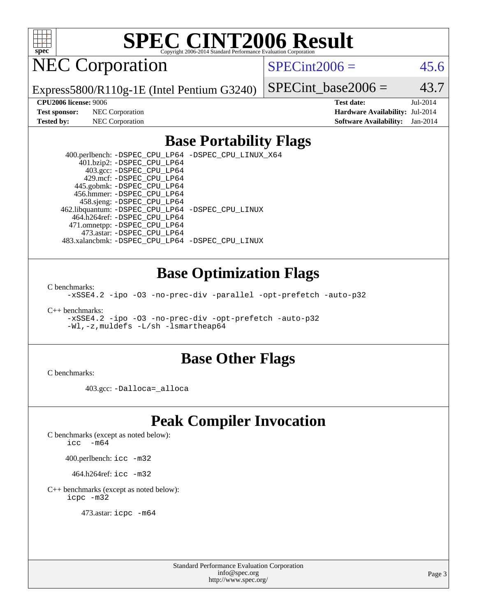

NEC Corporation

 $SPECint2006 = 45.6$  $SPECint2006 = 45.6$ 

Express5800/R110g-1E (Intel Pentium G3240)

**[Test sponsor:](http://www.spec.org/auto/cpu2006/Docs/result-fields.html#Testsponsor)** NEC Corporation **[Hardware Availability:](http://www.spec.org/auto/cpu2006/Docs/result-fields.html#HardwareAvailability)** Jul-2014

SPECint base2006 =  $43.7$ **[CPU2006 license:](http://www.spec.org/auto/cpu2006/Docs/result-fields.html#CPU2006license)** 9006 **[Test date:](http://www.spec.org/auto/cpu2006/Docs/result-fields.html#Testdate)** Jul-2014

**[Tested by:](http://www.spec.org/auto/cpu2006/Docs/result-fields.html#Testedby)** NEC Corporation **[Software Availability:](http://www.spec.org/auto/cpu2006/Docs/result-fields.html#SoftwareAvailability)** Jan-2014

#### **[Base Portability Flags](http://www.spec.org/auto/cpu2006/Docs/result-fields.html#BasePortabilityFlags)**

 400.perlbench: [-DSPEC\\_CPU\\_LP64](http://www.spec.org/cpu2006/results/res2014q3/cpu2006-20140805-30776.flags.html#b400.perlbench_basePORTABILITY_DSPEC_CPU_LP64) [-DSPEC\\_CPU\\_LINUX\\_X64](http://www.spec.org/cpu2006/results/res2014q3/cpu2006-20140805-30776.flags.html#b400.perlbench_baseCPORTABILITY_DSPEC_CPU_LINUX_X64) 401.bzip2: [-DSPEC\\_CPU\\_LP64](http://www.spec.org/cpu2006/results/res2014q3/cpu2006-20140805-30776.flags.html#suite_basePORTABILITY401_bzip2_DSPEC_CPU_LP64) 403.gcc: [-DSPEC\\_CPU\\_LP64](http://www.spec.org/cpu2006/results/res2014q3/cpu2006-20140805-30776.flags.html#suite_basePORTABILITY403_gcc_DSPEC_CPU_LP64) 429.mcf: [-DSPEC\\_CPU\\_LP64](http://www.spec.org/cpu2006/results/res2014q3/cpu2006-20140805-30776.flags.html#suite_basePORTABILITY429_mcf_DSPEC_CPU_LP64) 445.gobmk: [-DSPEC\\_CPU\\_LP64](http://www.spec.org/cpu2006/results/res2014q3/cpu2006-20140805-30776.flags.html#suite_basePORTABILITY445_gobmk_DSPEC_CPU_LP64) 456.hmmer: [-DSPEC\\_CPU\\_LP64](http://www.spec.org/cpu2006/results/res2014q3/cpu2006-20140805-30776.flags.html#suite_basePORTABILITY456_hmmer_DSPEC_CPU_LP64) 458.sjeng: [-DSPEC\\_CPU\\_LP64](http://www.spec.org/cpu2006/results/res2014q3/cpu2006-20140805-30776.flags.html#suite_basePORTABILITY458_sjeng_DSPEC_CPU_LP64) 462.libquantum: [-DSPEC\\_CPU\\_LP64](http://www.spec.org/cpu2006/results/res2014q3/cpu2006-20140805-30776.flags.html#suite_basePORTABILITY462_libquantum_DSPEC_CPU_LP64) [-DSPEC\\_CPU\\_LINUX](http://www.spec.org/cpu2006/results/res2014q3/cpu2006-20140805-30776.flags.html#b462.libquantum_baseCPORTABILITY_DSPEC_CPU_LINUX) 464.h264ref: [-DSPEC\\_CPU\\_LP64](http://www.spec.org/cpu2006/results/res2014q3/cpu2006-20140805-30776.flags.html#suite_basePORTABILITY464_h264ref_DSPEC_CPU_LP64) 471.omnetpp: [-DSPEC\\_CPU\\_LP64](http://www.spec.org/cpu2006/results/res2014q3/cpu2006-20140805-30776.flags.html#suite_basePORTABILITY471_omnetpp_DSPEC_CPU_LP64) 473.astar: [-DSPEC\\_CPU\\_LP64](http://www.spec.org/cpu2006/results/res2014q3/cpu2006-20140805-30776.flags.html#suite_basePORTABILITY473_astar_DSPEC_CPU_LP64) 483.xalancbmk: [-DSPEC\\_CPU\\_LP64](http://www.spec.org/cpu2006/results/res2014q3/cpu2006-20140805-30776.flags.html#suite_basePORTABILITY483_xalancbmk_DSPEC_CPU_LP64) [-DSPEC\\_CPU\\_LINUX](http://www.spec.org/cpu2006/results/res2014q3/cpu2006-20140805-30776.flags.html#b483.xalancbmk_baseCXXPORTABILITY_DSPEC_CPU_LINUX)

#### **[Base Optimization Flags](http://www.spec.org/auto/cpu2006/Docs/result-fields.html#BaseOptimizationFlags)**

[C benchmarks](http://www.spec.org/auto/cpu2006/Docs/result-fields.html#Cbenchmarks):

[-xSSE4.2](http://www.spec.org/cpu2006/results/res2014q3/cpu2006-20140805-30776.flags.html#user_CCbase_f-xSSE42_f91528193cf0b216347adb8b939d4107) [-ipo](http://www.spec.org/cpu2006/results/res2014q3/cpu2006-20140805-30776.flags.html#user_CCbase_f-ipo) [-O3](http://www.spec.org/cpu2006/results/res2014q3/cpu2006-20140805-30776.flags.html#user_CCbase_f-O3) [-no-prec-div](http://www.spec.org/cpu2006/results/res2014q3/cpu2006-20140805-30776.flags.html#user_CCbase_f-no-prec-div) [-parallel](http://www.spec.org/cpu2006/results/res2014q3/cpu2006-20140805-30776.flags.html#user_CCbase_f-parallel) [-opt-prefetch](http://www.spec.org/cpu2006/results/res2014q3/cpu2006-20140805-30776.flags.html#user_CCbase_f-opt-prefetch) [-auto-p32](http://www.spec.org/cpu2006/results/res2014q3/cpu2006-20140805-30776.flags.html#user_CCbase_f-auto-p32)

[C++ benchmarks:](http://www.spec.org/auto/cpu2006/Docs/result-fields.html#CXXbenchmarks)

[-xSSE4.2](http://www.spec.org/cpu2006/results/res2014q3/cpu2006-20140805-30776.flags.html#user_CXXbase_f-xSSE42_f91528193cf0b216347adb8b939d4107) [-ipo](http://www.spec.org/cpu2006/results/res2014q3/cpu2006-20140805-30776.flags.html#user_CXXbase_f-ipo) [-O3](http://www.spec.org/cpu2006/results/res2014q3/cpu2006-20140805-30776.flags.html#user_CXXbase_f-O3) [-no-prec-div](http://www.spec.org/cpu2006/results/res2014q3/cpu2006-20140805-30776.flags.html#user_CXXbase_f-no-prec-div) [-opt-prefetch](http://www.spec.org/cpu2006/results/res2014q3/cpu2006-20140805-30776.flags.html#user_CXXbase_f-opt-prefetch) [-auto-p32](http://www.spec.org/cpu2006/results/res2014q3/cpu2006-20140805-30776.flags.html#user_CXXbase_f-auto-p32) [-Wl,-z,muldefs](http://www.spec.org/cpu2006/results/res2014q3/cpu2006-20140805-30776.flags.html#user_CXXbase_link_force_multiple1_74079c344b956b9658436fd1b6dd3a8a) [-L/sh -lsmartheap64](http://www.spec.org/cpu2006/results/res2014q3/cpu2006-20140805-30776.flags.html#user_CXXbase_SmartHeap64_ed4ef857ce90951921efb0d91eb88472)

#### **[Base Other Flags](http://www.spec.org/auto/cpu2006/Docs/result-fields.html#BaseOtherFlags)**

[C benchmarks](http://www.spec.org/auto/cpu2006/Docs/result-fields.html#Cbenchmarks):

403.gcc: [-Dalloca=\\_alloca](http://www.spec.org/cpu2006/results/res2014q3/cpu2006-20140805-30776.flags.html#b403.gcc_baseEXTRA_CFLAGS_Dalloca_be3056838c12de2578596ca5467af7f3)

#### **[Peak Compiler Invocation](http://www.spec.org/auto/cpu2006/Docs/result-fields.html#PeakCompilerInvocation)**

[C benchmarks \(except as noted below\)](http://www.spec.org/auto/cpu2006/Docs/result-fields.html#Cbenchmarksexceptasnotedbelow):

[icc -m64](http://www.spec.org/cpu2006/results/res2014q3/cpu2006-20140805-30776.flags.html#user_CCpeak_intel_icc_64bit_f346026e86af2a669e726fe758c88044)

400.perlbench: [icc -m32](http://www.spec.org/cpu2006/results/res2014q3/cpu2006-20140805-30776.flags.html#user_peakCCLD400_perlbench_intel_icc_a6a621f8d50482236b970c6ac5f55f93)

464.h264ref: [icc -m32](http://www.spec.org/cpu2006/results/res2014q3/cpu2006-20140805-30776.flags.html#user_peakCCLD464_h264ref_intel_icc_a6a621f8d50482236b970c6ac5f55f93)

[C++ benchmarks \(except as noted below\):](http://www.spec.org/auto/cpu2006/Docs/result-fields.html#CXXbenchmarksexceptasnotedbelow) [icpc -m32](http://www.spec.org/cpu2006/results/res2014q3/cpu2006-20140805-30776.flags.html#user_CXXpeak_intel_icpc_4e5a5ef1a53fd332b3c49e69c3330699)

473.astar: [icpc -m64](http://www.spec.org/cpu2006/results/res2014q3/cpu2006-20140805-30776.flags.html#user_peakCXXLD473_astar_intel_icpc_64bit_fc66a5337ce925472a5c54ad6a0de310)

Standard Performance Evaluation Corporation [info@spec.org](mailto:info@spec.org) <http://www.spec.org/>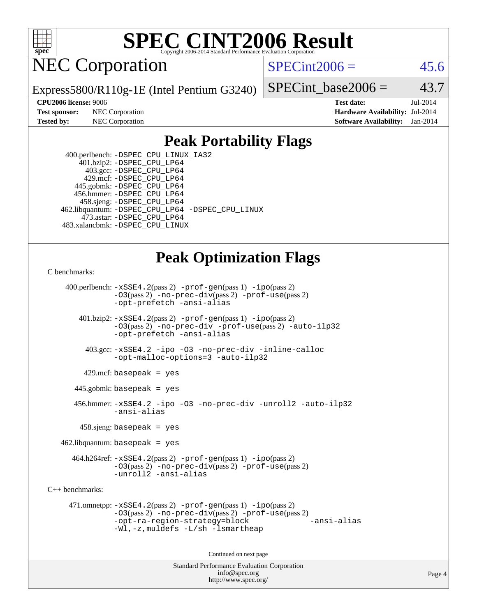

NEC Corporation

 $SPECint2006 = 45.6$  $SPECint2006 = 45.6$ 

Express5800/R110g-1E (Intel Pentium G3240)

SPECint base2006 =  $43.7$ 

**[CPU2006 license:](http://www.spec.org/auto/cpu2006/Docs/result-fields.html#CPU2006license)** 9006 **[Test date:](http://www.spec.org/auto/cpu2006/Docs/result-fields.html#Testdate)** Jul-2014 **[Test sponsor:](http://www.spec.org/auto/cpu2006/Docs/result-fields.html#Testsponsor)** NEC Corporation **[Hardware Availability:](http://www.spec.org/auto/cpu2006/Docs/result-fields.html#HardwareAvailability)** Jul-2014 **[Tested by:](http://www.spec.org/auto/cpu2006/Docs/result-fields.html#Testedby)** NEC Corporation **[Software Availability:](http://www.spec.org/auto/cpu2006/Docs/result-fields.html#SoftwareAvailability)** Jan-2014

#### **[Peak Portability Flags](http://www.spec.org/auto/cpu2006/Docs/result-fields.html#PeakPortabilityFlags)**

 400.perlbench: [-DSPEC\\_CPU\\_LINUX\\_IA32](http://www.spec.org/cpu2006/results/res2014q3/cpu2006-20140805-30776.flags.html#b400.perlbench_peakCPORTABILITY_DSPEC_CPU_LINUX_IA32) 401.bzip2: [-DSPEC\\_CPU\\_LP64](http://www.spec.org/cpu2006/results/res2014q3/cpu2006-20140805-30776.flags.html#suite_peakPORTABILITY401_bzip2_DSPEC_CPU_LP64) 403.gcc: [-DSPEC\\_CPU\\_LP64](http://www.spec.org/cpu2006/results/res2014q3/cpu2006-20140805-30776.flags.html#suite_peakPORTABILITY403_gcc_DSPEC_CPU_LP64) 429.mcf: [-DSPEC\\_CPU\\_LP64](http://www.spec.org/cpu2006/results/res2014q3/cpu2006-20140805-30776.flags.html#suite_peakPORTABILITY429_mcf_DSPEC_CPU_LP64) 445.gobmk: [-DSPEC\\_CPU\\_LP64](http://www.spec.org/cpu2006/results/res2014q3/cpu2006-20140805-30776.flags.html#suite_peakPORTABILITY445_gobmk_DSPEC_CPU_LP64) 456.hmmer: [-DSPEC\\_CPU\\_LP64](http://www.spec.org/cpu2006/results/res2014q3/cpu2006-20140805-30776.flags.html#suite_peakPORTABILITY456_hmmer_DSPEC_CPU_LP64) 458.sjeng: [-DSPEC\\_CPU\\_LP64](http://www.spec.org/cpu2006/results/res2014q3/cpu2006-20140805-30776.flags.html#suite_peakPORTABILITY458_sjeng_DSPEC_CPU_LP64) 462.libquantum: [-DSPEC\\_CPU\\_LP64](http://www.spec.org/cpu2006/results/res2014q3/cpu2006-20140805-30776.flags.html#suite_peakPORTABILITY462_libquantum_DSPEC_CPU_LP64) [-DSPEC\\_CPU\\_LINUX](http://www.spec.org/cpu2006/results/res2014q3/cpu2006-20140805-30776.flags.html#b462.libquantum_peakCPORTABILITY_DSPEC_CPU_LINUX) 473.astar: [-DSPEC\\_CPU\\_LP64](http://www.spec.org/cpu2006/results/res2014q3/cpu2006-20140805-30776.flags.html#suite_peakPORTABILITY473_astar_DSPEC_CPU_LP64) 483.xalancbmk: [-DSPEC\\_CPU\\_LINUX](http://www.spec.org/cpu2006/results/res2014q3/cpu2006-20140805-30776.flags.html#b483.xalancbmk_peakCXXPORTABILITY_DSPEC_CPU_LINUX)

#### **[Peak Optimization Flags](http://www.spec.org/auto/cpu2006/Docs/result-fields.html#PeakOptimizationFlags)**

#### [C benchmarks](http://www.spec.org/auto/cpu2006/Docs/result-fields.html#Cbenchmarks):

Standard Performance Evaluation Corporation [info@spec.org](mailto:info@spec.org) <http://www.spec.org/> 400.perlbench:  $-xSSE4$ . 2(pass 2)  $-prof-qen(pass 1) -ipo(pass 2)$  $-prof-qen(pass 1) -ipo(pass 2)$  $-prof-qen(pass 1) -ipo(pass 2)$ [-O3](http://www.spec.org/cpu2006/results/res2014q3/cpu2006-20140805-30776.flags.html#user_peakPASS2_CFLAGSPASS2_LDCFLAGS400_perlbench_f-O3)(pass 2) [-no-prec-div](http://www.spec.org/cpu2006/results/res2014q3/cpu2006-20140805-30776.flags.html#user_peakPASS2_CFLAGSPASS2_LDCFLAGS400_perlbench_f-no-prec-div)(pass 2) [-prof-use](http://www.spec.org/cpu2006/results/res2014q3/cpu2006-20140805-30776.flags.html#user_peakPASS2_CFLAGSPASS2_LDCFLAGS400_perlbench_prof_use_bccf7792157ff70d64e32fe3e1250b55)(pass 2) [-opt-prefetch](http://www.spec.org/cpu2006/results/res2014q3/cpu2006-20140805-30776.flags.html#user_peakCOPTIMIZE400_perlbench_f-opt-prefetch) [-ansi-alias](http://www.spec.org/cpu2006/results/res2014q3/cpu2006-20140805-30776.flags.html#user_peakCOPTIMIZE400_perlbench_f-ansi-alias)  $401.bzip2: -xSSE4.2(pass 2) -prof-gen(pass 1) -ipo(pass 2)$  $401.bzip2: -xSSE4.2(pass 2) -prof-gen(pass 1) -ipo(pass 2)$  $401.bzip2: -xSSE4.2(pass 2) -prof-gen(pass 1) -ipo(pass 2)$  $401.bzip2: -xSSE4.2(pass 2) -prof-gen(pass 1) -ipo(pass 2)$  $401.bzip2: -xSSE4.2(pass 2) -prof-gen(pass 1) -ipo(pass 2)$  $401.bzip2: -xSSE4.2(pass 2) -prof-gen(pass 1) -ipo(pass 2)$  $401.bzip2: -xSSE4.2(pass 2) -prof-gen(pass 1) -ipo(pass 2)$ [-O3](http://www.spec.org/cpu2006/results/res2014q3/cpu2006-20140805-30776.flags.html#user_peakPASS2_CFLAGSPASS2_LDCFLAGS401_bzip2_f-O3)(pass 2) [-no-prec-div](http://www.spec.org/cpu2006/results/res2014q3/cpu2006-20140805-30776.flags.html#user_peakCOPTIMIZEPASS2_CFLAGSPASS2_LDCFLAGS401_bzip2_f-no-prec-div) [-prof-use](http://www.spec.org/cpu2006/results/res2014q3/cpu2006-20140805-30776.flags.html#user_peakPASS2_CFLAGSPASS2_LDCFLAGS401_bzip2_prof_use_bccf7792157ff70d64e32fe3e1250b55)(pass 2) [-auto-ilp32](http://www.spec.org/cpu2006/results/res2014q3/cpu2006-20140805-30776.flags.html#user_peakCOPTIMIZE401_bzip2_f-auto-ilp32) [-opt-prefetch](http://www.spec.org/cpu2006/results/res2014q3/cpu2006-20140805-30776.flags.html#user_peakCOPTIMIZE401_bzip2_f-opt-prefetch) [-ansi-alias](http://www.spec.org/cpu2006/results/res2014q3/cpu2006-20140805-30776.flags.html#user_peakCOPTIMIZE401_bzip2_f-ansi-alias) 403.gcc: [-xSSE4.2](http://www.spec.org/cpu2006/results/res2014q3/cpu2006-20140805-30776.flags.html#user_peakCOPTIMIZE403_gcc_f-xSSE42_f91528193cf0b216347adb8b939d4107) [-ipo](http://www.spec.org/cpu2006/results/res2014q3/cpu2006-20140805-30776.flags.html#user_peakCOPTIMIZE403_gcc_f-ipo) [-O3](http://www.spec.org/cpu2006/results/res2014q3/cpu2006-20140805-30776.flags.html#user_peakCOPTIMIZE403_gcc_f-O3) [-no-prec-div](http://www.spec.org/cpu2006/results/res2014q3/cpu2006-20140805-30776.flags.html#user_peakCOPTIMIZE403_gcc_f-no-prec-div) [-inline-calloc](http://www.spec.org/cpu2006/results/res2014q3/cpu2006-20140805-30776.flags.html#user_peakCOPTIMIZE403_gcc_f-inline-calloc) [-opt-malloc-options=3](http://www.spec.org/cpu2006/results/res2014q3/cpu2006-20140805-30776.flags.html#user_peakCOPTIMIZE403_gcc_f-opt-malloc-options_13ab9b803cf986b4ee62f0a5998c2238) [-auto-ilp32](http://www.spec.org/cpu2006/results/res2014q3/cpu2006-20140805-30776.flags.html#user_peakCOPTIMIZE403_gcc_f-auto-ilp32)  $429$ .mcf: basepeak = yes 445.gobmk: basepeak = yes 456.hmmer: [-xSSE4.2](http://www.spec.org/cpu2006/results/res2014q3/cpu2006-20140805-30776.flags.html#user_peakCOPTIMIZE456_hmmer_f-xSSE42_f91528193cf0b216347adb8b939d4107) [-ipo](http://www.spec.org/cpu2006/results/res2014q3/cpu2006-20140805-30776.flags.html#user_peakCOPTIMIZE456_hmmer_f-ipo) [-O3](http://www.spec.org/cpu2006/results/res2014q3/cpu2006-20140805-30776.flags.html#user_peakCOPTIMIZE456_hmmer_f-O3) [-no-prec-div](http://www.spec.org/cpu2006/results/res2014q3/cpu2006-20140805-30776.flags.html#user_peakCOPTIMIZE456_hmmer_f-no-prec-div) [-unroll2](http://www.spec.org/cpu2006/results/res2014q3/cpu2006-20140805-30776.flags.html#user_peakCOPTIMIZE456_hmmer_f-unroll_784dae83bebfb236979b41d2422d7ec2) [-auto-ilp32](http://www.spec.org/cpu2006/results/res2014q3/cpu2006-20140805-30776.flags.html#user_peakCOPTIMIZE456_hmmer_f-auto-ilp32) [-ansi-alias](http://www.spec.org/cpu2006/results/res2014q3/cpu2006-20140805-30776.flags.html#user_peakCOPTIMIZE456_hmmer_f-ansi-alias) 458.sjeng: basepeak = yes  $462$ .libquantum: basepeak = yes 464.h264ref: [-xSSE4.2](http://www.spec.org/cpu2006/results/res2014q3/cpu2006-20140805-30776.flags.html#user_peakPASS2_CFLAGSPASS2_LDCFLAGS464_h264ref_f-xSSE42_f91528193cf0b216347adb8b939d4107)(pass 2) [-prof-gen](http://www.spec.org/cpu2006/results/res2014q3/cpu2006-20140805-30776.flags.html#user_peakPASS1_CFLAGSPASS1_LDCFLAGS464_h264ref_prof_gen_e43856698f6ca7b7e442dfd80e94a8fc)(pass 1) [-ipo](http://www.spec.org/cpu2006/results/res2014q3/cpu2006-20140805-30776.flags.html#user_peakPASS2_CFLAGSPASS2_LDCFLAGS464_h264ref_f-ipo)(pass 2) [-O3](http://www.spec.org/cpu2006/results/res2014q3/cpu2006-20140805-30776.flags.html#user_peakPASS2_CFLAGSPASS2_LDCFLAGS464_h264ref_f-O3)(pass 2) [-no-prec-div](http://www.spec.org/cpu2006/results/res2014q3/cpu2006-20140805-30776.flags.html#user_peakPASS2_CFLAGSPASS2_LDCFLAGS464_h264ref_f-no-prec-div)(pass 2) [-prof-use](http://www.spec.org/cpu2006/results/res2014q3/cpu2006-20140805-30776.flags.html#user_peakPASS2_CFLAGSPASS2_LDCFLAGS464_h264ref_prof_use_bccf7792157ff70d64e32fe3e1250b55)(pass 2) [-unroll2](http://www.spec.org/cpu2006/results/res2014q3/cpu2006-20140805-30776.flags.html#user_peakCOPTIMIZE464_h264ref_f-unroll_784dae83bebfb236979b41d2422d7ec2) [-ansi-alias](http://www.spec.org/cpu2006/results/res2014q3/cpu2006-20140805-30776.flags.html#user_peakCOPTIMIZE464_h264ref_f-ansi-alias) [C++ benchmarks:](http://www.spec.org/auto/cpu2006/Docs/result-fields.html#CXXbenchmarks) 471.omnetpp: [-xSSE4.2](http://www.spec.org/cpu2006/results/res2014q3/cpu2006-20140805-30776.flags.html#user_peakPASS2_CXXFLAGSPASS2_LDCXXFLAGS471_omnetpp_f-xSSE42_f91528193cf0b216347adb8b939d4107)(pass 2) [-prof-gen](http://www.spec.org/cpu2006/results/res2014q3/cpu2006-20140805-30776.flags.html#user_peakPASS1_CXXFLAGSPASS1_LDCXXFLAGS471_omnetpp_prof_gen_e43856698f6ca7b7e442dfd80e94a8fc)(pass 1) [-ipo](http://www.spec.org/cpu2006/results/res2014q3/cpu2006-20140805-30776.flags.html#user_peakPASS2_CXXFLAGSPASS2_LDCXXFLAGS471_omnetpp_f-ipo)(pass 2) [-O3](http://www.spec.org/cpu2006/results/res2014q3/cpu2006-20140805-30776.flags.html#user_peakPASS2_CXXFLAGSPASS2_LDCXXFLAGS471_omnetpp_f-O3)(pass 2) [-no-prec-div](http://www.spec.org/cpu2006/results/res2014q3/cpu2006-20140805-30776.flags.html#user_peakPASS2_CXXFLAGSPASS2_LDCXXFLAGS471_omnetpp_f-no-prec-div)(pass 2) [-prof-use](http://www.spec.org/cpu2006/results/res2014q3/cpu2006-20140805-30776.flags.html#user_peakPASS2_CXXFLAGSPASS2_LDCXXFLAGS471_omnetpp_prof_use_bccf7792157ff70d64e32fe3e1250b55)(pass 2) [-opt-ra-region-strategy=block](http://www.spec.org/cpu2006/results/res2014q3/cpu2006-20140805-30776.flags.html#user_peakCXXOPTIMIZE471_omnetpp_f-opt-ra-region-strategy_5382940c29ea30302d682fc74bfe0147) [-ansi-alias](http://www.spec.org/cpu2006/results/res2014q3/cpu2006-20140805-30776.flags.html#user_peakCXXOPTIMIZE471_omnetpp_f-ansi-alias) [-Wl,-z,muldefs](http://www.spec.org/cpu2006/results/res2014q3/cpu2006-20140805-30776.flags.html#user_peakEXTRA_LDFLAGS471_omnetpp_link_force_multiple1_74079c344b956b9658436fd1b6dd3a8a) [-L/sh -lsmartheap](http://www.spec.org/cpu2006/results/res2014q3/cpu2006-20140805-30776.flags.html#user_peakEXTRA_LIBS471_omnetpp_SmartHeap_32f6c82aa1ed9c52345d30cf6e4a0499) Continued on next page

Page 4